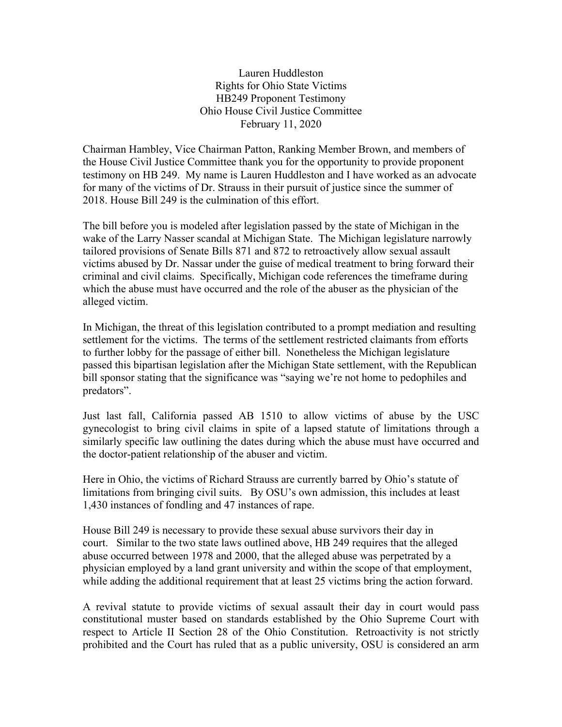Lauren Huddleston Rights for Ohio State Victims HB249 Proponent Testimony Ohio House Civil Justice Committee February 11, 2020

Chairman Hambley, Vice Chairman Patton, Ranking Member Brown, and members of the House Civil Justice Committee thank you for the opportunity to provide proponent testimony on HB 249. My name is Lauren Huddleston and I have worked as an advocate for many of the victims of Dr. Strauss in their pursuit of justice since the summer of 2018. House Bill 249 is the culmination of this effort.

The bill before you is modeled after legislation passed by the state of Michigan in the wake of the Larry Nasser scandal at Michigan State. The Michigan legislature narrowly tailored provisions of Senate Bills 871 and 872 to retroactively allow sexual assault victims abused by Dr. Nassar under the guise of medical treatment to bring forward their criminal and civil claims. Specifically, Michigan code references the timeframe during which the abuse must have occurred and the role of the abuser as the physician of the alleged victim.

In Michigan, the threat of this legislation contributed to a prompt mediation and resulting settlement for the victims. The terms of the settlement restricted claimants from efforts to further lobby for the passage of either bill. Nonetheless the Michigan legislature passed this bipartisan legislation after the Michigan State settlement, with the Republican bill sponsor stating that the significance was "saying we're not home to pedophiles and predators".

Just last fall, California passed AB 1510 to allow victims of abuse by the USC gynecologist to bring civil claims in spite of a lapsed statute of limitations through a similarly specific law outlining the dates during which the abuse must have occurred and the doctor-patient relationship of the abuser and victim.

Here in Ohio, the victims of Richard Strauss are currently barred by Ohio's statute of limitations from bringing civil suits. By OSU's own admission, this includes at least 1,430 instances of fondling and 47 instances of rape.

House Bill 249 is necessary to provide these sexual abuse survivors their day in court. Similar to the two state laws outlined above, HB 249 requires that the alleged abuse occurred between 1978 and 2000, that the alleged abuse was perpetrated by a physician employed by a land grant university and within the scope of that employment, while adding the additional requirement that at least 25 victims bring the action forward.

A revival statute to provide victims of sexual assault their day in court would pass constitutional muster based on standards established by the Ohio Supreme Court with respect to Article II Section 28 of the Ohio Constitution. Retroactivity is not strictly prohibited and the Court has ruled that as a public university, OSU is considered an arm